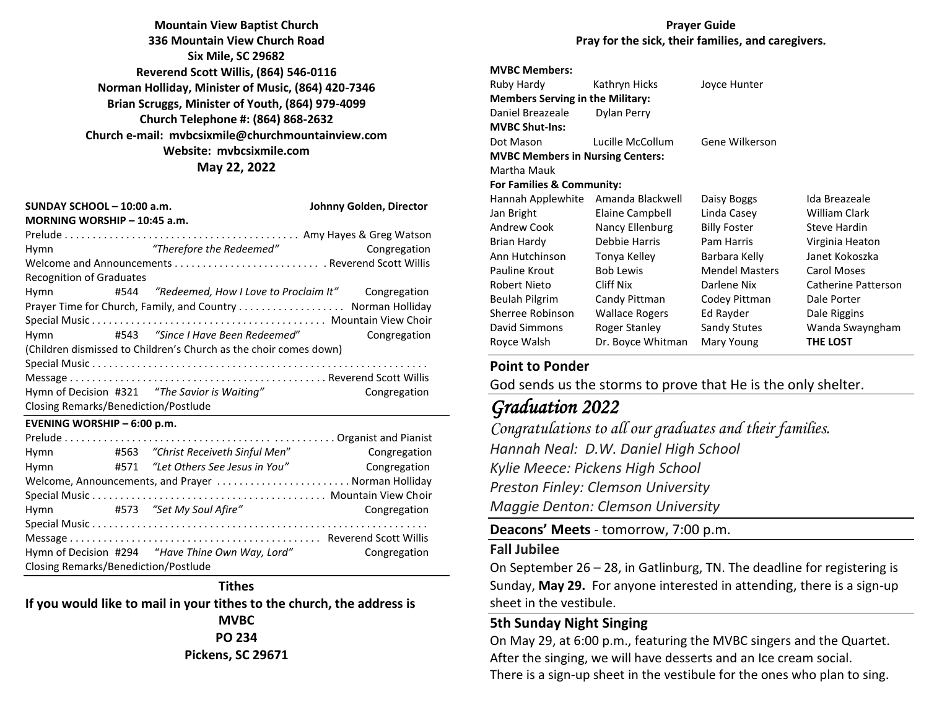**Mountain View Baptist Church 336 Mountain View Church Road Six Mile, SC 29682 Reverend Scott Willis, (864) 546-0116 Norman Holliday, Minister of Music, (864) 420-7346 Brian Scruggs, Minister of Youth, (864) 979-4099 Church Telephone #: (864) 868-2632 Church e-mail: [mvbcsixmile@churchmountainview.com](mailto:mvbcsixmile@churchmountainview.com) Website: mvbcsixmile.com May 22, 2022**

| SUNDAY SCHOOL - 10:00 a.m.                                        | Johnny Golden, Director |                                                         |              |  |  |  |
|-------------------------------------------------------------------|-------------------------|---------------------------------------------------------|--------------|--|--|--|
| MORNING WORSHIP - 10:45 a.m.                                      |                         |                                                         |              |  |  |  |
| Hymn                                                              |                         | "Therefore the Redeemed"                                | Congregation |  |  |  |
|                                                                   |                         |                                                         |              |  |  |  |
| <b>Recognition of Graduates</b>                                   |                         |                                                         |              |  |  |  |
| Hymn                                                              |                         | #544 "Redeemed, How I Love to Proclaim It" Congregation |              |  |  |  |
|                                                                   |                         |                                                         |              |  |  |  |
|                                                                   |                         |                                                         |              |  |  |  |
| Hymn                                                              |                         |                                                         | Congregation |  |  |  |
| (Children dismissed to Children's Church as the choir comes down) |                         |                                                         |              |  |  |  |
|                                                                   |                         |                                                         |              |  |  |  |
|                                                                   |                         |                                                         |              |  |  |  |
|                                                                   |                         | Hymn of Decision #321 "The Savior is Waiting"           | Congregation |  |  |  |
| Closing Remarks/Benediction/Postlude                              |                         |                                                         |              |  |  |  |
| EVENING WORSHIP $-6:00$ p.m.                                      |                         |                                                         |              |  |  |  |
|                                                                   |                         |                                                         |              |  |  |  |
| Hymn                                                              |                         | #563 "Christ Receiveth Sinful Men"                      | Congregation |  |  |  |
| Hymn                                                              |                         | #571 "Let Others See Jesus in You"                      | Congregation |  |  |  |

|                                             | Welcome, Announcements, and Prayer  Norman Holliday |              |
|---------------------------------------------|-----------------------------------------------------|--------------|
|                                             |                                                     |              |
|                                             | Hymn #573 "Set My Soul Afire"                       | Congregation |
|                                             |                                                     |              |
|                                             |                                                     |              |
|                                             |                                                     | Congregation |
| <b>Closing Remarks/Benediction/Postlude</b> |                                                     |              |

#### **Tithes**

**If you would like to mail in your tithes to the church, the address is MVBC**

**PO 234 Pickens, SC 29671**

#### **Prayer Guide Pray for the sick, their families, and caregivers.**

#### **MVBC Members:**

| Ruby Hardy                              | Kathryn Hicks          | Joyce Hunter          |                      |  |  |  |
|-----------------------------------------|------------------------|-----------------------|----------------------|--|--|--|
| <b>Members Serving in the Military:</b> |                        |                       |                      |  |  |  |
| Daniel Breazeale                        | Dylan Perry            |                       |                      |  |  |  |
| <b>MVBC Shut-Ins:</b>                   |                        |                       |                      |  |  |  |
| Dot Mason                               | Lucille McCollum       | Gene Wilkerson        |                      |  |  |  |
| <b>MVBC Members in Nursing Centers:</b> |                        |                       |                      |  |  |  |
| Martha Mauk                             |                        |                       |                      |  |  |  |
| For Families & Community:               |                        |                       |                      |  |  |  |
| Hannah Applewhite                       | Amanda Blackwell       | Daisy Boggs           | Ida Breazeale        |  |  |  |
| Jan Bright                              | <b>Elaine Campbell</b> | Linda Casey           | <b>William Clark</b> |  |  |  |
| Andrew Cook                             | Nancy Ellenburg        | <b>Billy Foster</b>   | Steve Hardin         |  |  |  |
| Brian Hardy                             | Debbie Harris          | Pam Harris            | Virginia Heaton      |  |  |  |
| Ann Hutchinson                          | Tonya Kelley           | Barbara Kelly         | Janet Kokoszka       |  |  |  |
| Pauline Krout                           | <b>Bob Lewis</b>       | <b>Mendel Masters</b> | <b>Carol Moses</b>   |  |  |  |
| <b>Robert Nieto</b>                     | Cliff Nix              | Darlene Nix           | Catherine Patterson  |  |  |  |
| Beulah Pilgrim                          | Candy Pittman          | Codey Pittman         | Dale Porter          |  |  |  |
| Sherree Robinson                        | <b>Wallace Rogers</b>  | Ed Rayder             | Dale Riggins         |  |  |  |
| David Simmons                           | Roger Stanley          | Sandy Stutes          | Wanda Swayngham      |  |  |  |
| Royce Walsh                             | Dr. Boyce Whitman      | Mary Young            | THE LOST             |  |  |  |
|                                         |                        |                       |                      |  |  |  |

#### **Point to Ponder**

God sends us the storms to prove that He is the only shelter.

# *Graduation 2022*

*Congratulations to all our graduates and their families. Hannah Neal: D.W. Daniel High School Kylie Meece: Pickens High School Preston Finley: Clemson University Maggie Denton: Clemson University*

**Deacons' Meets** - tomorrow, 7:00 p.m.

#### **Fall Jubilee**

On September 26 – 28, in Gatlinburg, TN. The deadline for registering is Sunday, **May 29.** For anyone interested in attending, there is a sign-up sheet in the vestibule.

### **5th Sunday Night Singing**

On May 29, at 6:00 p.m., featuring the MVBC singers and the Quartet. After the singing, we will have desserts and an Ice cream social. There is a sign-up sheet in the vestibule for the ones who plan to sing.